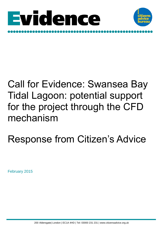



## Call for Evidence: Swansea Bay Tidal Lagoon: potential support for the project through the CFD mechanism

# Response from Citizen's Advice

February 2015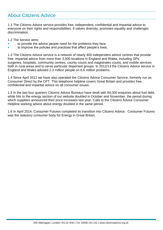### About Citizens Advice

1.1 The Citizens Advice service provides free, independent, confidential and impartial advice to everyone on their rights and responsibilities. It values diversity, promotes equality and challenges discrimination.

1.2 The service aims:

- to provide the advice people need for the problems they face
- to improve the policies and practices that affect people's lives.

1.3 The Citizens Advice service is a network of nearly 400 independent advice centres that provide free, impartial advice from more than 3,500 locations in England and Wales, including GPs' surgeries, hospitals, community centres, county courts and magistrates courts, and mobile services both in rural areas and to serve particular dispersed groups. In 2012/13 the Citizens Advice service in England and Wales advised 2.3 million people on 6.6 million problems.

1.4 Since April 2012 we have also operated the Citizens Advice Consumer Service, formerly run as Consumer Direct by the OFT. This telephone helpline covers Great Britain and provides free, confidential and impartial advice on all consumer issues.

1.5 In the last four quarters Citizens Advice Bureaux have dealt with 84,000 enquiries about fuel debt, while hits to the energy section of our website doubled in October and November, the period during which suppliers announced their price increases last year. Calls to the Citizens Advice Consumer Helpline seeking advice about energy doubled in the same period.

1.6 In April 2014, Consumer Futures completed its transition into Citizens Advice. Consumer Futures was the statutory consumer body for Energy in Great Britain.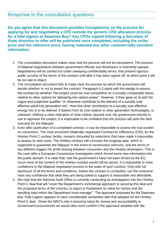#### Response to the consultation questions

**Do you agree that this document provides transparency on the process for applying for and negotiating a CFD outside the generic CFD allocation process for a tidal lagoon at Swansea Bay? Any CFDs signed following a Secretary of State direction to offer will be published once completed, including the strike price and the reference price, having redacted any other commercially sensitive information.**

- 1. The consultation document makes clear that the process will not be transparent. The process of bilateral negotiations between government officials and developers is inherently opaque. Negotiations will be carried out under sweeping confidentiality terms, that prevent rigorous public scrutiny of the terms of the contract until after it has been signed off, at which point it will be too late to object.
- 2. The consultation document fails to make clear the process by which the government will decide whether or not to award the contract. Paragraph 5.3 starts with the pledge to assess the contract by whether "the project could be cost-competitive on a broadly comparable bases relative to other options for delivering low carbon power". However, it then goes on to add the vague and subjective qualifier "or otherwise contribute to the delivery of a socially cost effective electricity generation mix". How this other contribution to a socially cost effective energy mix is to be defined, if distinct from its cost relative to other generation technologies, is unknown. Without a clear indication of what criteria, beyond cost, the government intends to use to appraise the project, it is impossible to be confident that the process will yield the best outcome for the billpayer.
- 3. Even after publication of a completed contract, it may be impossible to assess the true burden on consumers. The most prominent bilaterally negotiated Contract for Difference (CfD), for the Hinkley Point C nuclear facility, remains shrouded by redactions that have made it impossible to assess its total costs. The Hinkley contract still conceals the longstop date, which is supposed to guarantee the billpayer in the event of construction overruns, and the terms of two different triggers for profit-sharing between consumers and the Hinkley developers. This is the case *after* a European Commission investigation which forced some new information into the public domain. It is clear that, had the government's hand not been forced by the EU, much more of the content of the Hinkley contract would still be secret. It is impossible to have confidence in the bilateral negotiation process in the wake of such conduct. Only with full disclosure of all the terms and conditions, before the contract is concluded, can the consumer have any confidence that what they are being asked to support is reasonable and affordable.
- 4. We note that the National Audit Office is currently conducting an investigation into the HInkley Point C deal that will "cover the Department's commercial approach to securing this deal and the proposed terms of the contract, to report to Parliament on value for money and the resulting risks which the Department must manage." The approach proposed for the Swansea Bay Tidal Lagoon appears to have considerable similarities with that adopted for the Hinkley Point C deal. Given the NAO's role in ensuring value for money and accountability in Government procurement we would take more comfort if the approach adopted with the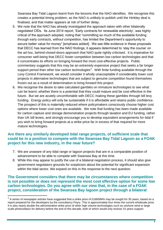Swansea Bay Tidal Lagoon learnt from the lessons that the NAO identifies. We recognise this creates a potential timing problem, as the NAO is unlikely to publish until the Hinkley deal is finalised, and that matter appears at risk of further delay.

- 5. We note that the NAO has already investigated the approach taken with other bilaterally negotiated CfDs. Its June 2014 report, 'Early contracts for renewable electricity', was highly critical of the approach adopted, noting that "committing so much of the available funding through early contracts, *without competition*, has limited the Department's opportunity to secure better value for money" [emphasis added]. We see little evidence in these proposals that DECC has learned from the NAO findings; it appears determined to 'stay the course' on the ad hoc, behind-closed-doors approach that NAO quite rightly criticised. It is imperative for consumer well-being that DECC foster competition between low carbon technologies and that it concentrates its efforts on bringing forward the most cost-effective projects. Public commentary suggests that this may be an extremely expensive project that seeks a far longer support period than other low carbon technologies<sup>1</sup>. With finite funding available through the Levy Control Framework, we would consider it wholly unacceptable if considerably lower cost projects in alternative technologies that are subject to genuine competition found themselves frozen out as a result of determination to bring forward this project.
- 6. We recognise the desire to take calculated gambles on immature technologies to see what can be learnt; whether there is a potential that they could mature and be cost-effective in the future. But we are acutely uncomfortable with DECC making these gambles through bill levy funding. Energy policy will only be sustainable if it is affordable and retains public confidence. The prospect of this is materially reduced where policymakers consciously choose higher cost options where lower cost ones are available. We note that funding has been made available for carbon capture and storage demonstration projects through taxation and EU funding, rather than UK bill levies, and strongly encourage you to develop equivalent arrangements for tidal if you wish to bring forward projects at a strike price far in excess of that required for more mature technologies.

#### **Are there any similarly developed tidal range projects, of sufficient scale that could be in a position to compete with the Swansea Bay Tidal Lagoon as a FOAK project for this new industry, in the near future?**

- 7. We are unaware of any tidal range or lagoon projects that are in a comparable position of advancement to be able to compete with Swansea Bay at this time.
- 8. While this may appear to justify the use of a bilateral negotiation process, it should also give government negotiators grounds for scepticism about the potential for significant expansion within the tidal sector. We expand on this in the response to the next question.

**The Government considers that there may be circumstances where competition is not possible or does not represent the most cost effective option for some low carbon technologies. Do you agree with our view that, in the case of a FOAK project, consideration of the Swansea Bay lagoon project through a bilateral** 

l

 $1$  A series of newspaper articles have suggested that a strike price of £168/MWh may be sought for 35 years, based on a report prepared for the developers by the consultancy Poyry. This is approximately four times the current wholesale price. It is also nearly double the administrative strike price of other high volume technologies such as onshore wind or large scale photovoltaics for delivery before the end of this decade, both of which would only receive 15 years support.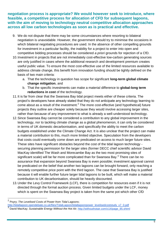**negotiation process is appropriate? We would however seek to introduce, where feasible, a competitive process for allocation of CFD for subsequent lagoons, with the aim of moving to technology neutral competitive allocation approaches across all low carbon technologies as soon as is practical and effective.** 

- 9. We do not dispute that there may be some circumstances where resorting to bilateral negotiation is unavoidable. However, the government should try to minimise the occasions in which bilateral negotiating procedures are used. In the absence of other compelling grounds for investment in a particular facility, the inability for a project to enter into open and competitive bidding processes should be considered *a priori* grounds for rejection of a CfD.
- 10.Investment in projects that are not immediately cost-effective low-carbon generating sources are only justified in cases where the additional research and development premium creates useful public value. To ensure the most cost-effective use of the limited resources available to address climate change, this benefit from innovation funding should be tightly defined on the basis of two main criteria:
	- a. That the technology in question has scope for significant **long-term global climate change mitigation**, and
	- b. That the specific investments can make a material difference to **global-long term reductions in cost** of the technology.
- 11.It is far from clear that the Swansea Bay tidal project meets either of these criteria. The project's developers have already stated that they do not anticipate any technology learning to come about as a result of the investment.<sup>2</sup> The more cost-effective (and hypothetical) future projects they outline are cheaper solely because they would involve accessing larger sites, rather than because of any improvement to what is already a well-understood technology.
- 12.Since Swansea Bay cannot be considered a contribution to any global improvement in the technology, nor to tackling climate change as a global phenomenon, it can only be considered in terms of UK domestic decarbonisation, and specifically the ability to meet the carbon budgets established under the Climate Change Act. It is also unclear that the project can make a material contribution to this, much more limited objective. Speculation from the developers that costs could eventually come down are predicated on access to much larger future sites. These sites have significant obstacles beyond the cost of the tidal lagoon technology securing planning permission for the larger sites (former DECC chief scientific advisor David MacKay identified The Wash and Morecambe Bay as the two most promising sites of significant scale) will be far more complicated than for Swansea Bay. $^3$  There can be no assurance that expansion beyond Swansea Bay is even possible; investment approval cannot be predicated on the belief that another two lagoons can be brought forward, only reaching a remotely competitive price point with the third lagoon. The case that Swansea Bay is justified because it will enable further future larger tidal lagoons to be built, which will make a material contribution to UK decarbonisation, should be heavily discounted.
- 13.Under the Levy Control Framework (LCF), there is competition for resources even if it is not directed through the formal auction process. Given limited budgets under the LCF, money which is spent on the Swansea Bay project is taken from the same pot which other CfD

l

<sup>2</sup> Poyry; *The Levelised Costs of Power from Tidal Lagoons*;

[http://tidallagoon.opendebate.co.uk/files/TidalLagoon/tidallagoonpower\\_levelisedcoststudy\\_v7\\_0.pdf](http://tidallagoon.opendebate.co.uk/files/TidalLagoon/tidallagoonpower_levelisedcoststudy_v7_0.pdf)<br>3 Douid MaaKau, Sustainable Energy Without the Het Ain http://withoutbatair.com/a14/page\_95.phtm

David MacKay; Sustainable Energy Without the Hot Air; [http://withouthotair.com/c14/page\\_85.shtml](http://withouthotair.com/c14/page_85.shtml)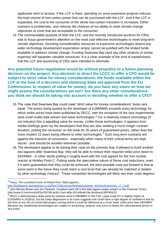applicants wish to access. If the LCF is fixed, spending on more expensive projects reduces the total volume of low-carbon power that can be purchased with the LCF. And if the LCF is expanded, the cost to the consumer of the whole low-carbon transition is increased. Either scenario is problematic, and reduces the chances of our ability to meet climate change objectives at costs that are acceptable to the consumer.

14.The commendable purpose of both the LCF, and the recently introduced auctions for CfDs, was to focus government's attention on the most cost-effective technologies to meet long-term climate objectives. Devoting (considerable) resources to expensive technologies absent any wider technology development expectation simply cannot be justified with the limited funds available to address climate change. Funding Swansea Bay (and any other projects of similar expense) will squander valuable resources. It is a clear example of the kind of wastefulness that the LCF and auctioning of CfDs were intended to eliminate.

**Any potential future negotiation would be without prejudice to a future planning decision on the project. Any decision to direct the LCCC to offer a CFD would be subject to strict value for money considerations, the funds available within the LCF at the time of a decision and obtaining State aid approval from the EU Commission. In respect of value for money, do you have any views on how we might assess the considerations set out? Are there any other considerations you think we should be taking into account in deciding whether to offer a CFD?**

- 15.The case that Swansea Bay could meet "strict value for money considerations" looks very weak. The prices being quoted by the developer of £168/MWh exceeds every technology for which strike prices have been published by DECC, with the exception of the very experimental (and small scale) tidal stream and wave technologies.<sup>4</sup> For a relatively mature technology (if not industry) this is appalling value for money. Unlike those technologies, it appears from media briefings given by the developers that they are also seeking a much longer contract duration, putting the consumer on the hook for 35 years of guaranteed prices, rather than the more modest 15 years being offered to other technologies.<sup>5</sup> Such long term contracts are against the interests of consumers - especially when many of their critical terms are kept secret - and should be avoided wherever possible.
- 16.The developers appear to be basing their case on the premise that, if allowed to build another two lagoons after Swansea Bay, they will be able to reduce their required strike price down to £92/MWh - in other words putting it roughly level with the cost agreed for the first nuclear reactor at Hinkley Point C. Putting aside the speculative nature of these cost reductions, even if it were guaranteed that they could be achieved, the best possible case put forward is that at some point in the future they could reach a cost level that can already be matched or beaten by other technology choices<sup>6</sup>. Those competitor technologies will likely see their costs degress

l 4 Poyry; *The Levelised Costs of Power from Tidal Lagoons*; [http://tidallagoon.opendebate.co.uk/files/TidalLagoon/tidallagoonpower\\_levelisedcoststudy\\_v7\\_0.pdf](http://tidallagoon.opendebate.co.uk/files/TidalLagoon/tidallagoonpower_levelisedcoststudy_v7_0.pdf)<br>5 John Murroy Proup and Jim Deckerd: 'Investore back UK's first tidel lagoon nover project' in the G

John Murray Brown and Jim Packard; 'Investors back UK's first tidal lagoon power project' in the *Financial Times*; http://www.ft.com/cms/s/0/3a7657d0-ac5d-11e4-af0e-00144feab7de.html#axzz3RF4fck2X

 $^6$  DECC's administrative strike price for onshore wind is £90/MWh in 2017/18. Large scale PV is slightly higher at £100/MWh in 2018/19, but the sharp degression in its costs suggests one could have a high degree of confidence that by the time of any nth-of-a-kind tidal project coming online it could be delivered at a much lower strike price than £92/MWh. Because the established technologies are subject to auctioning, projects may come in below the administrative prices in any event.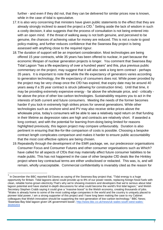further - and even if they did not, that they can be delivered for similar prices now is known, while in the case of tidal is speculative.

- 17.It is also very concerning that ministers have given public statements to the effect that they are already strongly inclined to award the project a CfD.<sup>7</sup> Setting aside the lack of wisdom in such a costly decision, it also suggests that the process of consultation is not being entered into with an open mind. If the threat of walking away is not both genuine, and perceived to be genuine, the chances of achieving value for money are reduced. This is not a route to good policy-making, and further reduces confidence that the Swansea Bay project is being assessed with anything close to the required rigour.
- 18.The duration of support will be an important consideration. Most technologies are being offered 15 year contracts, while 35 years has been offered to nuclear, in part because the economic lifespan of nuclear generation projects is longer. You comment that Swansea Bay Tidal Lagoon "has a life expectancy of over a hundred years" and this, plus previous public commentary on the project, may suggest that it will also seek a long term contract - perhaps 35 years. It is important to note that while the life expectancy of generators varies according to generation technology, the life expectancy of consumers does not. While power provided by the project may be very cheap once the CfD has expired, that expiry date may be around 40 years away if a 35 year contract is struck (allowing for construction time). Until that time, it may be providing extremely expensive energy - far above the wholesale price, and - critically far above the price of other low carbon technologies. Sustainability requires you to act in the interests of both current and future consumers. Meeting the needs of the former becomes harder if you lock-in extremely high strikes prices for several generations. While other technologies such as onshore wind and PV may also receive strike prices above the wholesale price, today's consumers will be able to see a relatively rapid return on that funding in their lifetime as degression rates are high and contracts are relatively short. If awarded a long contract, and with the potential for learning-from-doing being limited for reasons highlighted previously, this lagoon project may compare unfavourably. Duration is also pertinent in ensuring that like-for-like comparison of costs is possible. Choosing a bespoke contract length complicates comparison and makes it harder to ensure public accountability that the most cost effective options are being chosen.
- 19.Repeatedly through the development of the EMR package, we, our predecessor organisations Consumer Focus and Consumer Futures and other consumer organisations such as Which? have called for all aspects of CfDs that may materially affect future consumer liabilities to be made public. This has not happened in the case of other bespoke CfD deals like the Hinkley project where key contractual terms are either undisclosed or redacted. This was, is, and will remain, wholly unacceptable. Commercial confidentiality is invariably cited as the reason for

 7 In December the BBC reported Ed Davey as saying of the Swansea Bay project that, "Tidal energy is a huge opportunity for Britain. Tidal lagoons alone could provide up to 8% of our power needs, replacing foreign fossil fuels with clean, reliable home-grown electricity.That's why we're showing investors and developers that we're serious about tidal lagoon potential and have started in-depth discussions for what could become the world's first tidal lagoon," and Welsh Secretary Stephen Crabb saying it could give a "massive boost" to the Welsh economy, creating thousands of jobs. "Wales is already home to some of the most cutting edge companies in the world and the country is uniquely placed to pioneer tidal power, I am a strong supporter of this project and I have long been making the case to my Cabinet colleagues that Welsh innovation should be supporting the next generation of low-carbon technology." BBC News; 'Swansea Bay tidal lagoon given UK government boost'; [http://www.bbc.co.uk/news/uk-wales-south-west-wales-](http://www.bbc.co.uk/news/uk-wales-south-west-wales-30283203)[30283203](http://www.bbc.co.uk/news/uk-wales-south-west-wales-30283203)